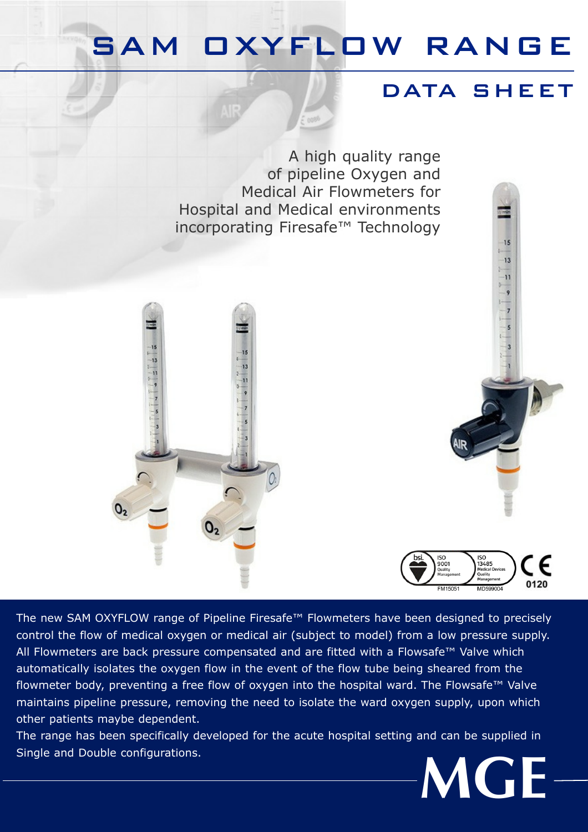## SAM OXYFLOW RANGE

#### DATA SHEET

 $15$  $\frac{1}{13}$ 11

A high quality range of pipeline Oxygen and Medical Air Flowmeters for Hospital and Medical environments incorporating Firesafe™ Technology





The new SAM OXYFLOW range of Pipeline Firesafe™ Flowmeters have been designed to precisely control the flow of medical oxygen or medical air (subject to model) from a low pressure supply. All Flowmeters are back pressure compensated and are fitted with a Flowsafe™ Valve which automatically isolates the oxygen flow in the event of the flow tube being sheared from the flowmeter body, preventing a free flow of oxygen into the hospital ward. The Flowsafe™ Valve maintains pipeline pressure, removing the need to isolate the ward oxygen supply, upon which other patients maybe dependent.

The range has been specifically developed for the acute hospital setting and can be supplied in Single and Double configurations.